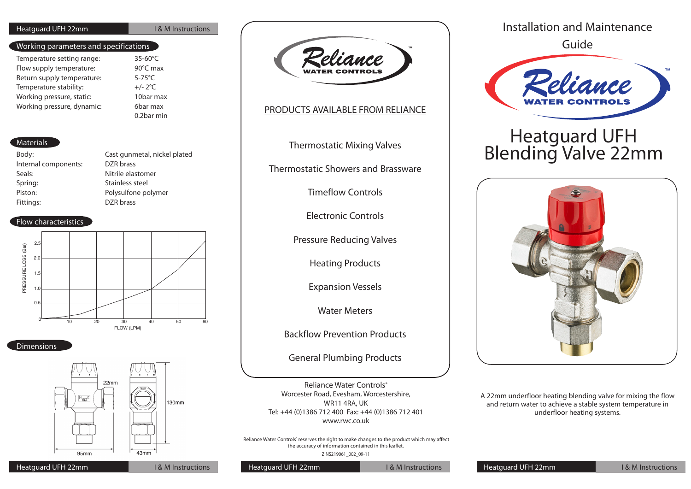### Heatquard UFH 22mm **I Beatquard UFH 22mm**

### Working parameters and specifications

| Temperature setting range: | 35-60°C                                                                                             |
|----------------------------|-----------------------------------------------------------------------------------------------------|
| Flow supply temperature:   | 90°C max                                                                                            |
| Return supply temperature: | $5-75^{\circ}$ C                                                                                    |
| Temperature stability:     | $+/- 2°C$                                                                                           |
| Working pressure, static:  | 10bar max                                                                                           |
| Working pressure, dynamic: | 6bar max                                                                                            |
|                            | $\bigcap_{n=1}^{\infty}$ $\bigcap_{n=1}^{\infty}$ $\bigcap_{n=1}^{\infty}$ $\bigcap_{n=1}^{\infty}$ |

0.2bar min

### **Materials**

| Body:                | Cast gunmetal, nickel plated |
|----------------------|------------------------------|
| Internal components: | DZR brass                    |
| Seals:               | Nitrile elastomer            |
| Spring:              | Stainless steel              |
| Piston:              | Polysulfone polymer          |
| Fittings:            | DZR brass                    |
|                      |                              |

### Flow characteristics



### **Dimensions**



Peliance

## PRODUCTS AVAILABLE FROM RELIANCE

Thermostatic Mixing Valves

Thermostatic Showers and Brassware

Timeflow Controls

Electronic Controls

Pressure Reducing Valves

Heating Products

Expansion Vessels

Water Meters

Backflow Prevention Products

General Plumbing Products

Reliance Water Controls® Worcester Road, Evesham, Worcestershire, WR11 4RA, UK Tel: +44 (0)1386 712 400 Fax: +44 (0)1386 712 401 www.rwc.co.uk

Reliance Water Controls' reserves the right to make changes to the product which may affect the accuracy of information contained in this leaflet. ZINS219061\_002\_09-11

Installation and Maintenance Guide



# Heatguard UFH Blending Valve 22mm



A 22mm underfloor heating blending valve for mixing the flow and return water to achieve a stable system temperature in underfloor heating systems.